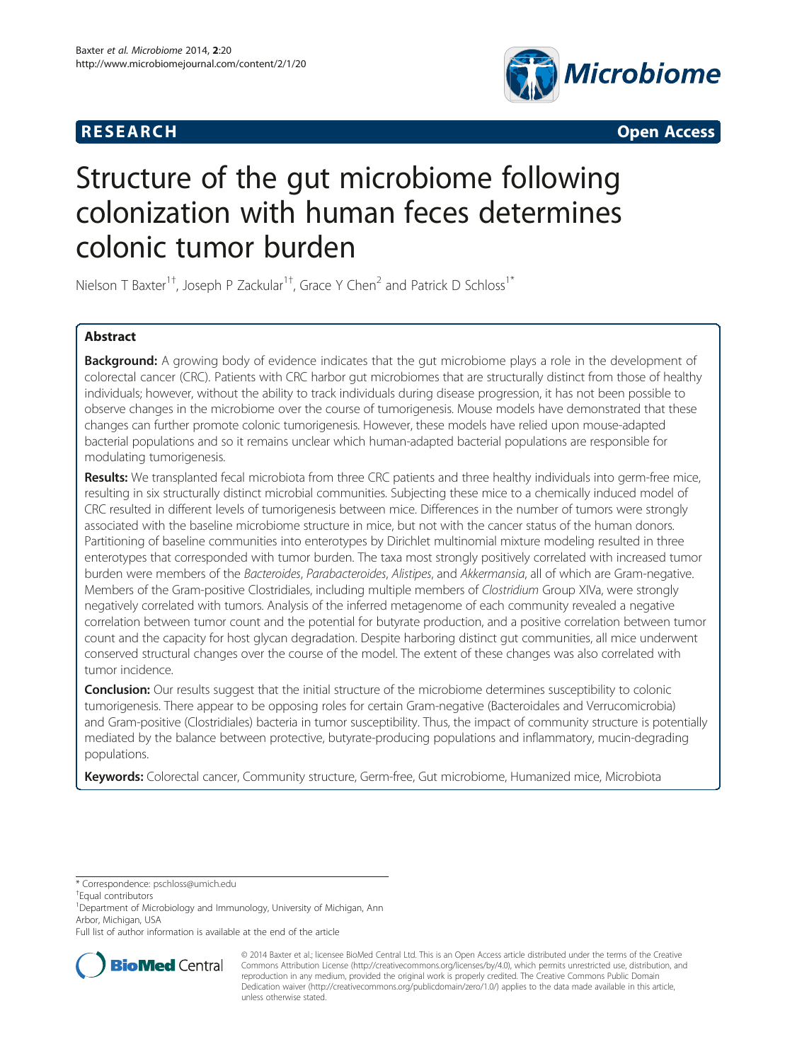



# Structure of the gut microbiome following colonization with human feces determines colonic tumor burden

Nielson T Baxter<sup>1†</sup>, Joseph P Zackular<sup>1†</sup>, Grace Y Chen<sup>2</sup> and Patrick D Schloss<sup>1\*</sup>

# Abstract

Background: A growing body of evidence indicates that the gut microbiome plays a role in the development of colorectal cancer (CRC). Patients with CRC harbor gut microbiomes that are structurally distinct from those of healthy individuals; however, without the ability to track individuals during disease progression, it has not been possible to observe changes in the microbiome over the course of tumorigenesis. Mouse models have demonstrated that these changes can further promote colonic tumorigenesis. However, these models have relied upon mouse-adapted bacterial populations and so it remains unclear which human-adapted bacterial populations are responsible for modulating tumorigenesis.

Results: We transplanted fecal microbiota from three CRC patients and three healthy individuals into germ-free mice, resulting in six structurally distinct microbial communities. Subjecting these mice to a chemically induced model of CRC resulted in different levels of tumorigenesis between mice. Differences in the number of tumors were strongly associated with the baseline microbiome structure in mice, but not with the cancer status of the human donors. Partitioning of baseline communities into enterotypes by Dirichlet multinomial mixture modeling resulted in three enterotypes that corresponded with tumor burden. The taxa most strongly positively correlated with increased tumor burden were members of the Bacteroides, Parabacteroides, Alistipes, and Akkermansia, all of which are Gram-negative. Members of the Gram-positive Clostridiales, including multiple members of Clostridium Group XIVa, were strongly negatively correlated with tumors. Analysis of the inferred metagenome of each community revealed a negative correlation between tumor count and the potential for butyrate production, and a positive correlation between tumor count and the capacity for host glycan degradation. Despite harboring distinct gut communities, all mice underwent conserved structural changes over the course of the model. The extent of these changes was also correlated with tumor incidence.

**Conclusion:** Our results suggest that the initial structure of the microbiome determines susceptibility to colonic tumorigenesis. There appear to be opposing roles for certain Gram-negative (Bacteroidales and Verrucomicrobia) and Gram-positive (Clostridiales) bacteria in tumor susceptibility. Thus, the impact of community structure is potentially mediated by the balance between protective, butyrate-producing populations and inflammatory, mucin-degrading populations.

Keywords: Colorectal cancer, Community structure, Germ-free, Gut microbiome, Humanized mice, Microbiota

\* Correspondence: [pschloss@umich.edu](mailto:pschloss@umich.edu) †

Equal contributors

<sup>1</sup>Department of Microbiology and Immunology, University of Michigan, Ann Arbor, Michigan, USA

Full list of author information is available at the end of the article



© 2014 Baxter et al.; licensee BioMed Central Ltd. This is an Open Access article distributed under the terms of the Creative Commons Attribution License [\(http://creativecommons.org/licenses/by/4.0\)](http://creativecommons.org/licenses/by/4.0), which permits unrestricted use, distribution, and reproduction in any medium, provided the original work is properly credited. The Creative Commons Public Domain Dedication waiver [\(http://creativecommons.org/publicdomain/zero/1.0/](http://creativecommons.org/publicdomain/zero/1.0/)) applies to the data made available in this article, unless otherwise stated.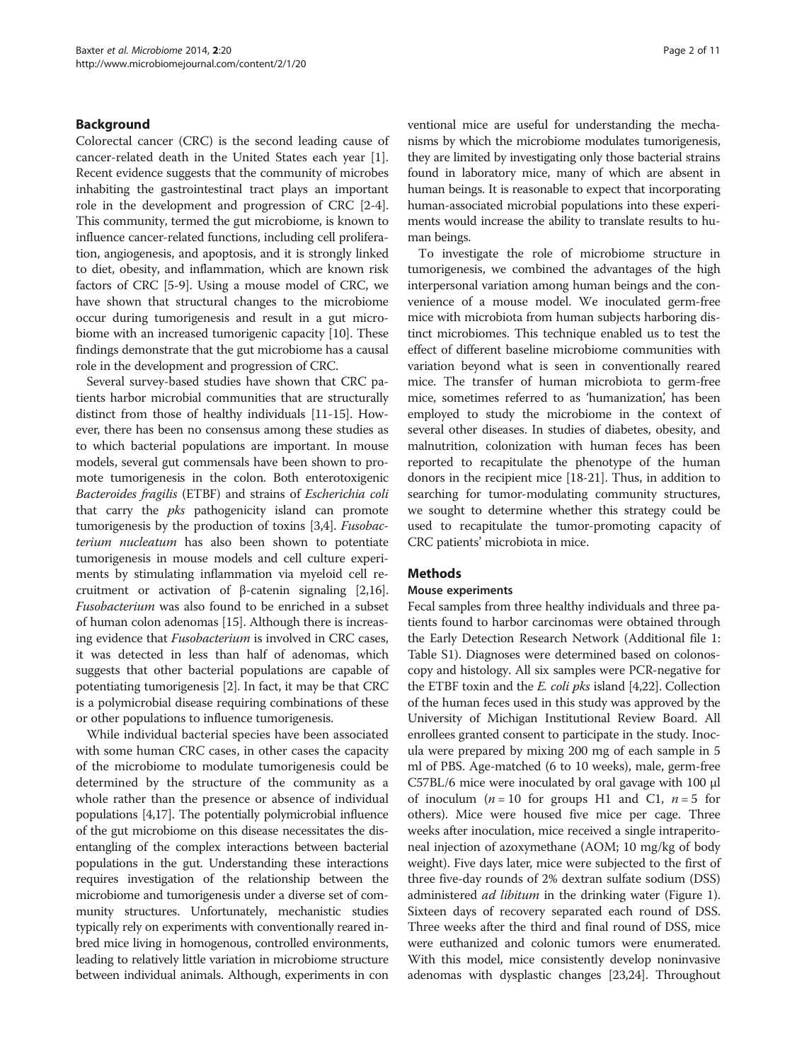# Background

Colorectal cancer (CRC) is the second leading cause of cancer-related death in the United States each year [\[1](#page-9-0)]. Recent evidence suggests that the community of microbes inhabiting the gastrointestinal tract plays an important role in the development and progression of CRC [\[2](#page-9-0)-[4](#page-9-0)]. This community, termed the gut microbiome, is known to influence cancer-related functions, including cell proliferation, angiogenesis, and apoptosis, and it is strongly linked to diet, obesity, and inflammation, which are known risk factors of CRC [\[5](#page-9-0)-[9\]](#page-9-0). Using a mouse model of CRC, we have shown that structural changes to the microbiome occur during tumorigenesis and result in a gut microbiome with an increased tumorigenic capacity [[10](#page-9-0)]. These findings demonstrate that the gut microbiome has a causal role in the development and progression of CRC.

Several survey-based studies have shown that CRC patients harbor microbial communities that are structurally distinct from those of healthy individuals [[11](#page-9-0)-[15](#page-9-0)]. However, there has been no consensus among these studies as to which bacterial populations are important. In mouse models, several gut commensals have been shown to promote tumorigenesis in the colon. Both enterotoxigenic Bacteroides fragilis (ETBF) and strains of Escherichia coli that carry the *pks* pathogenicity island can promote tumorigenesis by the production of toxins [[3,4](#page-9-0)]. Fusobacterium nucleatum has also been shown to potentiate tumorigenesis in mouse models and cell culture experiments by stimulating inflammation via myeloid cell recruitment or activation of β-catenin signaling [[2,16](#page-9-0)]. Fusobacterium was also found to be enriched in a subset of human colon adenomas [\[15\]](#page-9-0). Although there is increasing evidence that Fusobacterium is involved in CRC cases, it was detected in less than half of adenomas, which suggests that other bacterial populations are capable of potentiating tumorigenesis [\[2](#page-9-0)]. In fact, it may be that CRC is a polymicrobial disease requiring combinations of these or other populations to influence tumorigenesis.

While individual bacterial species have been associated with some human CRC cases, in other cases the capacity of the microbiome to modulate tumorigenesis could be determined by the structure of the community as a whole rather than the presence or absence of individual populations [\[4,17](#page-9-0)]. The potentially polymicrobial influence of the gut microbiome on this disease necessitates the disentangling of the complex interactions between bacterial populations in the gut. Understanding these interactions requires investigation of the relationship between the microbiome and tumorigenesis under a diverse set of community structures. Unfortunately, mechanistic studies typically rely on experiments with conventionally reared inbred mice living in homogenous, controlled environments, leading to relatively little variation in microbiome structure between individual animals. Although, experiments in con ventional mice are useful for understanding the mechanisms by which the microbiome modulates tumorigenesis, they are limited by investigating only those bacterial strains found in laboratory mice, many of which are absent in human beings. It is reasonable to expect that incorporating human-associated microbial populations into these experiments would increase the ability to translate results to human beings.

To investigate the role of microbiome structure in tumorigenesis, we combined the advantages of the high interpersonal variation among human beings and the convenience of a mouse model. We inoculated germ-free mice with microbiota from human subjects harboring distinct microbiomes. This technique enabled us to test the effect of different baseline microbiome communities with variation beyond what is seen in conventionally reared mice. The transfer of human microbiota to germ-free mice, sometimes referred to as 'humanization', has been employed to study the microbiome in the context of several other diseases. In studies of diabetes, obesity, and malnutrition, colonization with human feces has been reported to recapitulate the phenotype of the human donors in the recipient mice [\[18-21](#page-9-0)]. Thus, in addition to searching for tumor-modulating community structures, we sought to determine whether this strategy could be used to recapitulate the tumor-promoting capacity of CRC patients' microbiota in mice.

# **Methods**

#### Mouse experiments

Fecal samples from three healthy individuals and three patients found to harbor carcinomas were obtained through the Early Detection Research Network (Additional file [1](#page-9-0): Table S1). Diagnoses were determined based on colonoscopy and histology. All six samples were PCR-negative for the ETBF toxin and the E. coli pks island [\[4,](#page-9-0)[22](#page-10-0)]. Collection of the human feces used in this study was approved by the University of Michigan Institutional Review Board. All enrollees granted consent to participate in the study. Inocula were prepared by mixing 200 mg of each sample in 5 ml of PBS. Age-matched (6 to 10 weeks), male, germ-free C57BL/6 mice were inoculated by oral gavage with 100 μl of inoculum ( $n = 10$  for groups H1 and C1,  $n = 5$  for others). Mice were housed five mice per cage. Three weeks after inoculation, mice received a single intraperitoneal injection of azoxymethane (AOM; 10 mg/kg of body weight). Five days later, mice were subjected to the first of three five-day rounds of 2% dextran sulfate sodium (DSS) administered *ad libitum* in the drinking water (Figure [1](#page-2-0)). Sixteen days of recovery separated each round of DSS. Three weeks after the third and final round of DSS, mice were euthanized and colonic tumors were enumerated. With this model, mice consistently develop noninvasive adenomas with dysplastic changes [\[23,24](#page-10-0)]. Throughout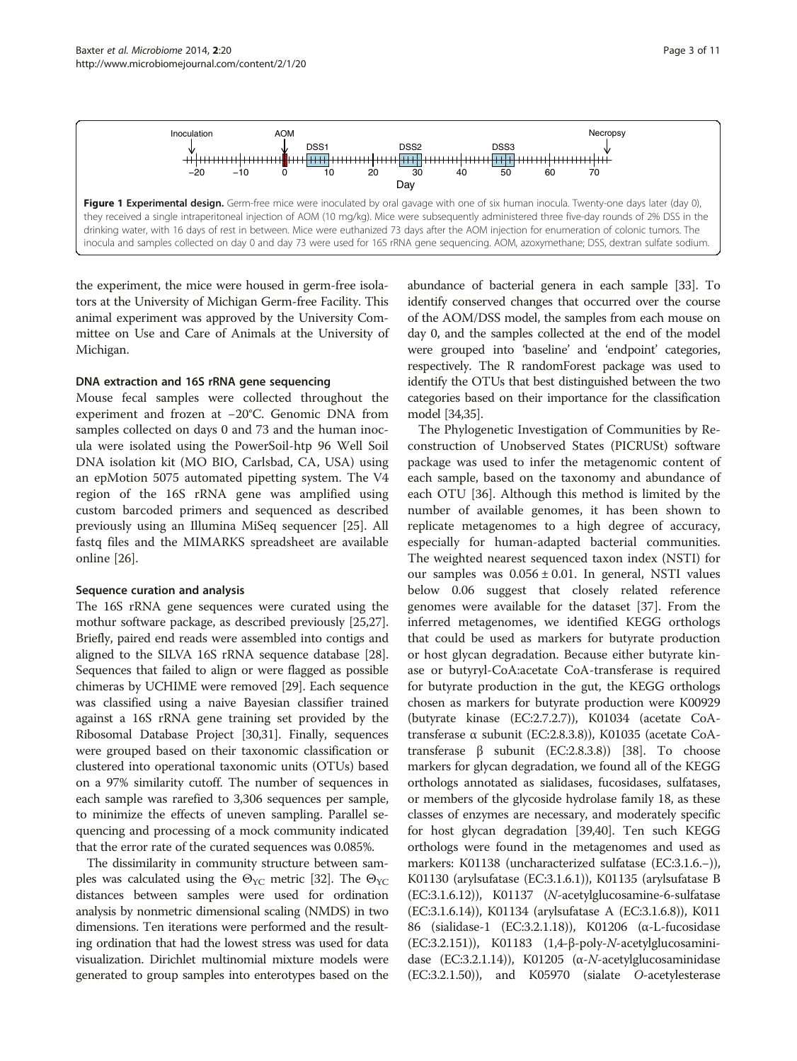

<span id="page-2-0"></span>

the experiment, the mice were housed in germ-free isolators at the University of Michigan Germ-free Facility. This animal experiment was approved by the University Committee on Use and Care of Animals at the University of Michigan.

#### DNA extraction and 16S rRNA gene sequencing

Mouse fecal samples were collected throughout the experiment and frozen at −20°C. Genomic DNA from samples collected on days 0 and 73 and the human inocula were isolated using the PowerSoil-htp 96 Well Soil DNA isolation kit (MO BIO, Carlsbad, CA, USA) using an epMotion 5075 automated pipetting system. The V4 region of the 16S rRNA gene was amplified using custom barcoded primers and sequenced as described previously using an Illumina MiSeq sequencer [\[25](#page-10-0)]. All fastq files and the MIMARKS spreadsheet are available online [\[26](#page-10-0)].

#### Sequence curation and analysis

The 16S rRNA gene sequences were curated using the mothur software package, as described previously [\[25,27](#page-10-0)]. Briefly, paired end reads were assembled into contigs and aligned to the SILVA 16S rRNA sequence database [[28](#page-10-0)]. Sequences that failed to align or were flagged as possible chimeras by UCHIME were removed [\[29](#page-10-0)]. Each sequence was classified using a naive Bayesian classifier trained against a 16S rRNA gene training set provided by the Ribosomal Database Project [[30,31\]](#page-10-0). Finally, sequences were grouped based on their taxonomic classification or clustered into operational taxonomic units (OTUs) based on a 97% similarity cutoff. The number of sequences in each sample was rarefied to 3,306 sequences per sample, to minimize the effects of uneven sampling. Parallel sequencing and processing of a mock community indicated that the error rate of the curated sequences was 0.085%.

The dissimilarity in community structure between samples was calculated using the  $\Theta_{\text{YC}}$  metric [\[32](#page-10-0)]. The  $\Theta_{\text{YC}}$ distances between samples were used for ordination analysis by nonmetric dimensional scaling (NMDS) in two dimensions. Ten iterations were performed and the resulting ordination that had the lowest stress was used for data visualization. Dirichlet multinomial mixture models were generated to group samples into enterotypes based on the abundance of bacterial genera in each sample [\[33\]](#page-10-0). To identify conserved changes that occurred over the course of the AOM/DSS model, the samples from each mouse on day 0, and the samples collected at the end of the model were grouped into 'baseline' and 'endpoint' categories, respectively. The R randomForest package was used to identify the OTUs that best distinguished between the two categories based on their importance for the classification model [\[34,35](#page-10-0)].

The Phylogenetic Investigation of Communities by Reconstruction of Unobserved States (PICRUSt) software package was used to infer the metagenomic content of each sample, based on the taxonomy and abundance of each OTU [\[36](#page-10-0)]. Although this method is limited by the number of available genomes, it has been shown to replicate metagenomes to a high degree of accuracy, especially for human-adapted bacterial communities. The weighted nearest sequenced taxon index (NSTI) for our samples was  $0.056 \pm 0.01$ . In general, NSTI values below 0.06 suggest that closely related reference genomes were available for the dataset [\[37\]](#page-10-0). From the inferred metagenomes, we identified KEGG orthologs that could be used as markers for butyrate production or host glycan degradation. Because either butyrate kinase or butyryl-CoA:acetate CoA-transferase is required for butyrate production in the gut, the KEGG orthologs chosen as markers for butyrate production were K00929 (butyrate kinase (EC:2.7.2.7)), K01034 (acetate CoAtransferase α subunit (EC:2.8.3.8)), K01035 (acetate CoAtransferase β subunit (EC:2.8.3.8)) [\[38\]](#page-10-0). To choose markers for glycan degradation, we found all of the KEGG orthologs annotated as sialidases, fucosidases, sulfatases, or members of the glycoside hydrolase family 18, as these classes of enzymes are necessary, and moderately specific for host glycan degradation [\[39,40](#page-10-0)]. Ten such KEGG orthologs were found in the metagenomes and used as markers: K01138 (uncharacterized sulfatase (EC:3.1.6.−)), K01130 (arylsufatase (EC:3.1.6.1)), K01135 (arylsufatase B (EC:3.1.6.12)), K01137 (N-acetylglucosamine-6-sulfatase (EC:3.1.6.14)), K01134 (arylsufatase A (EC:3.1.6.8)), K011 86 (sialidase-1 (EC:3.2.1.18)), K01206 (α-L-fucosidase (EC:3.2.151)), K01183 (1,4-β-poly-N-acetylglucosaminidase (EC:3.2.1.14)), K01205 ( $\alpha$ -N-acetylglucosaminidase (EC:3.2.1.50)), and K05970 (sialate O-acetylesterase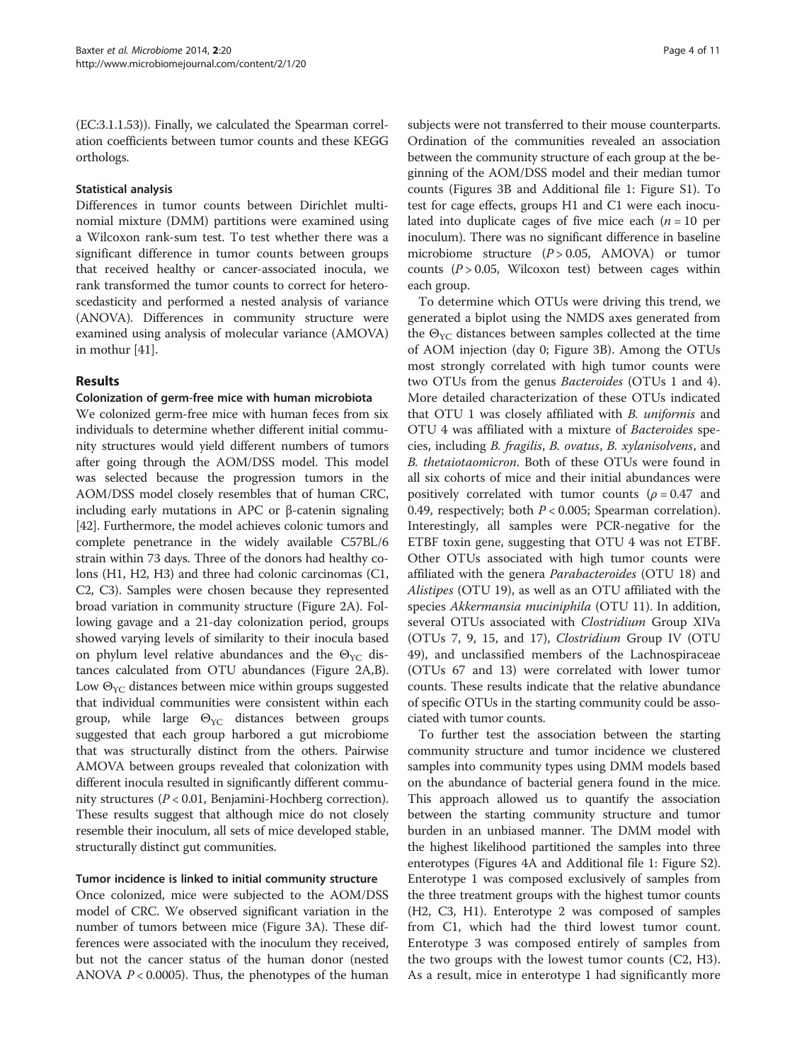(EC:3.1.1.53)). Finally, we calculated the Spearman correlation coefficients between tumor counts and these KEGG orthologs.

## Statistical analysis

Differences in tumor counts between Dirichlet multinomial mixture (DMM) partitions were examined using a Wilcoxon rank-sum test. To test whether there was a significant difference in tumor counts between groups that received healthy or cancer-associated inocula, we rank transformed the tumor counts to correct for heteroscedasticity and performed a nested analysis of variance (ANOVA). Differences in community structure were examined using analysis of molecular variance (AMOVA) in mothur [\[41\]](#page-10-0).

# Results

# Colonization of germ-free mice with human microbiota

We colonized germ-free mice with human feces from six individuals to determine whether different initial community structures would yield different numbers of tumors after going through the AOM/DSS model. This model was selected because the progression tumors in the AOM/DSS model closely resembles that of human CRC, including early mutations in APC or β-catenin signaling [[42](#page-10-0)]. Furthermore, the model achieves colonic tumors and complete penetrance in the widely available C57BL/6 strain within 73 days. Three of the donors had healthy colons (H1, H2, H3) and three had colonic carcinomas (C1, C2, C3). Samples were chosen because they represented broad variation in community structure (Figure [2A](#page-4-0)). Following gavage and a 21-day colonization period, groups showed varying levels of similarity to their inocula based on phylum level relative abundances and the  $\Theta_{\text{YC}}$  distances calculated from OTU abundances (Figure [2](#page-4-0)A,B). Low  $\Theta_{\text{YC}}$  distances between mice within groups suggested that individual communities were consistent within each group, while large  $\Theta_{\text{YC}}$  distances between groups suggested that each group harbored a gut microbiome that was structurally distinct from the others. Pairwise AMOVA between groups revealed that colonization with different inocula resulted in significantly different community structures (P < 0.01, Benjamini-Hochberg correction). These results suggest that although mice do not closely resemble their inoculum, all sets of mice developed stable, structurally distinct gut communities.

# Tumor incidence is linked to initial community structure

Once colonized, mice were subjected to the AOM/DSS model of CRC. We observed significant variation in the number of tumors between mice (Figure [3](#page-5-0)A). These differences were associated with the inoculum they received, but not the cancer status of the human donor (nested ANOVA  $P < 0.0005$ ). Thus, the phenotypes of the human

subjects were not transferred to their mouse counterparts. Ordination of the communities revealed an association between the community structure of each group at the beginning of the AOM/DSS model and their median tumor counts (Figures [3](#page-5-0)B and Additional file [1:](#page-9-0) Figure S1). To test for cage effects, groups H1 and C1 were each inoculated into duplicate cages of five mice each  $(n = 10$  per inoculum). There was no significant difference in baseline microbiome structure  $(P > 0.05, AMOVA)$  or tumor counts  $(P > 0.05$ , Wilcoxon test) between cages within each group.

To determine which OTUs were driving this trend, we generated a biplot using the NMDS axes generated from the  $\Theta_{\text{YC}}$  distances between samples collected at the time of AOM injection (day 0; Figure [3](#page-5-0)B). Among the OTUs most strongly correlated with high tumor counts were two OTUs from the genus Bacteroides (OTUs 1 and 4). More detailed characterization of these OTUs indicated that OTU 1 was closely affiliated with B. uniformis and OTU 4 was affiliated with a mixture of Bacteroides species, including B. fragilis, B. ovatus, B. xylanisolvens, and B. thetaiotaomicron. Both of these OTUs were found in all six cohorts of mice and their initial abundances were positively correlated with tumor counts ( $\rho = 0.47$  and 0.49, respectively; both  $P < 0.005$ ; Spearman correlation). Interestingly, all samples were PCR-negative for the ETBF toxin gene, suggesting that OTU 4 was not ETBF. Other OTUs associated with high tumor counts were affiliated with the genera Parabacteroides (OTU 18) and Alistipes (OTU 19), as well as an OTU affiliated with the species Akkermansia muciniphila (OTU 11). In addition, several OTUs associated with Clostridium Group XIVa (OTUs 7, 9, 15, and 17), Clostridium Group IV (OTU 49), and unclassified members of the Lachnospiraceae (OTUs 67 and 13) were correlated with lower tumor counts. These results indicate that the relative abundance of specific OTUs in the starting community could be associated with tumor counts.

To further test the association between the starting community structure and tumor incidence we clustered samples into community types using DMM models based on the abundance of bacterial genera found in the mice. This approach allowed us to quantify the association between the starting community structure and tumor burden in an unbiased manner. The DMM model with the highest likelihood partitioned the samples into three enterotypes (Figures [4A](#page-6-0) and Additional file [1](#page-9-0): Figure S2). Enterotype 1 was composed exclusively of samples from the three treatment groups with the highest tumor counts (H2, C3, H1). Enterotype 2 was composed of samples from C1, which had the third lowest tumor count. Enterotype 3 was composed entirely of samples from the two groups with the lowest tumor counts (C2, H3). As a result, mice in enterotype 1 had significantly more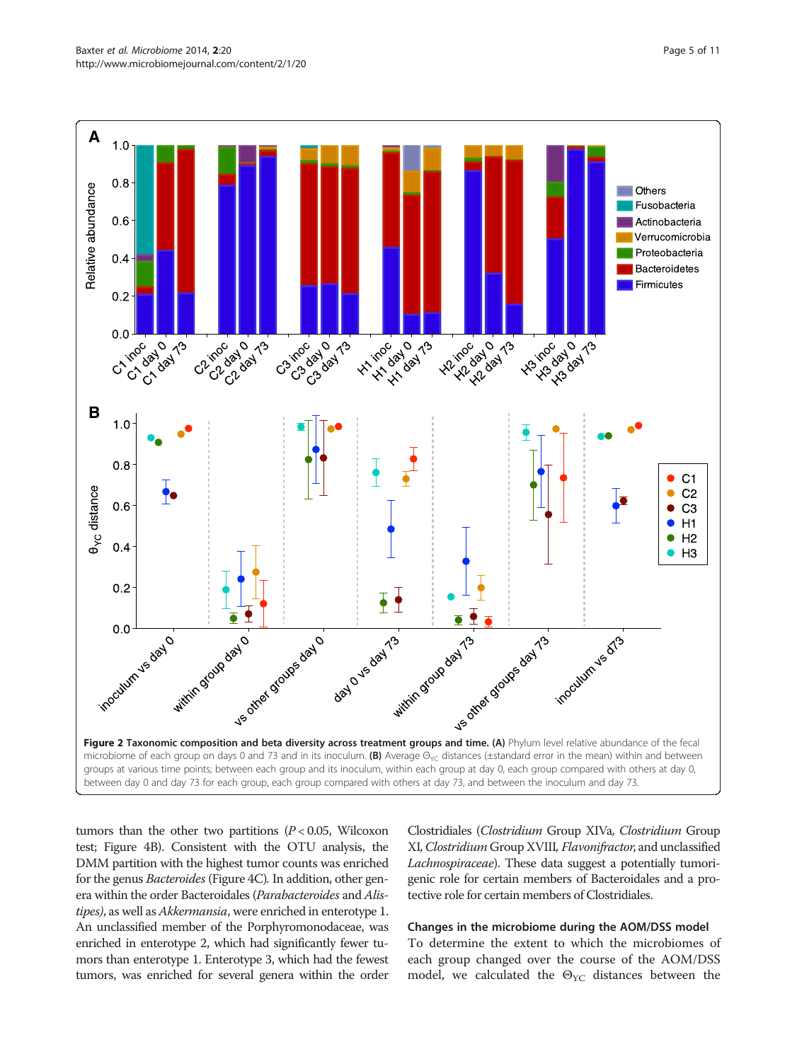<span id="page-4-0"></span>

tumors than the other two partitions  $(P < 0.05$ , Wilcoxon test; Figure [4](#page-6-0)B). Consistent with the OTU analysis, the DMM partition with the highest tumor counts was enriched for the genus Bacteroides (Figure [4C](#page-6-0)). In addition, other genera within the order Bacteroidales (Parabacteroides and Alistipes), as well as *Akkermansia*, were enriched in enterotype 1. An unclassified member of the Porphyromonodaceae, was enriched in enterotype 2, which had significantly fewer tumors than enterotype 1. Enterotype 3, which had the fewest tumors, was enriched for several genera within the order

Clostridiales (Clostridium Group XIVa, Clostridium Group XI, Clostridium Group XVIII, Flavonifractor, and unclassified Lachnospiraceae). These data suggest a potentially tumorigenic role for certain members of Bacteroidales and a protective role for certain members of Clostridiales.

#### Changes in the microbiome during the AOM/DSS model

To determine the extent to which the microbiomes of each group changed over the course of the AOM/DSS model, we calculated the  $\Theta_{\text{YC}}$  distances between the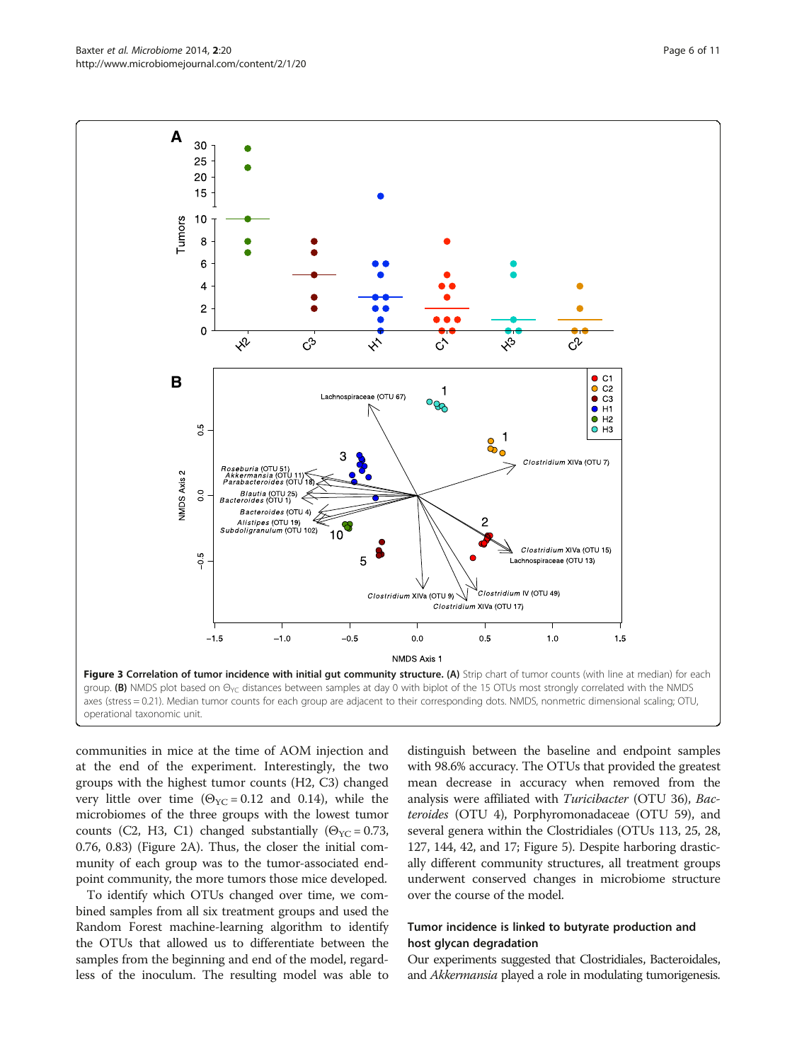communities in mice at the time of AOM injection and at the end of the experiment. Interestingly, the two groups with the highest tumor counts (H2, C3) changed very little over time ( $\Theta_{\text{YC}}$  = 0.12 and 0.14), while the microbiomes of the three groups with the lowest tumor counts (C2, H3, C1) changed substantially ( $\Theta_{\text{YC}}$  = 0.73, 0.76, 0.83) (Figure [2A](#page-4-0)). Thus, the closer the initial community of each group was to the tumor-associated endpoint community, the more tumors those mice developed.

To identify which OTUs changed over time, we combined samples from all six treatment groups and used the Random Forest machine-learning algorithm to identify the OTUs that allowed us to differentiate between the samples from the beginning and end of the model, regardless of the inoculum. The resulting model was able to distinguish between the baseline and endpoint samples with 98.6% accuracy. The OTUs that provided the greatest mean decrease in accuracy when removed from the analysis were affiliated with Turicibacter (OTU 36), Bacteroides (OTU 4), Porphyromonadaceae (OTU 59), and several genera within the Clostridiales (OTUs 113, 25, 28, 127, 144, 42, and 17; Figure [5\)](#page-7-0). Despite harboring drastically different community structures, all treatment groups underwent conserved changes in microbiome structure over the course of the model.

# Tumor incidence is linked to butyrate production and host glycan degradation

Our experiments suggested that Clostridiales, Bacteroidales, and Akkermansia played a role in modulating tumorigenesis.

<span id="page-5-0"></span>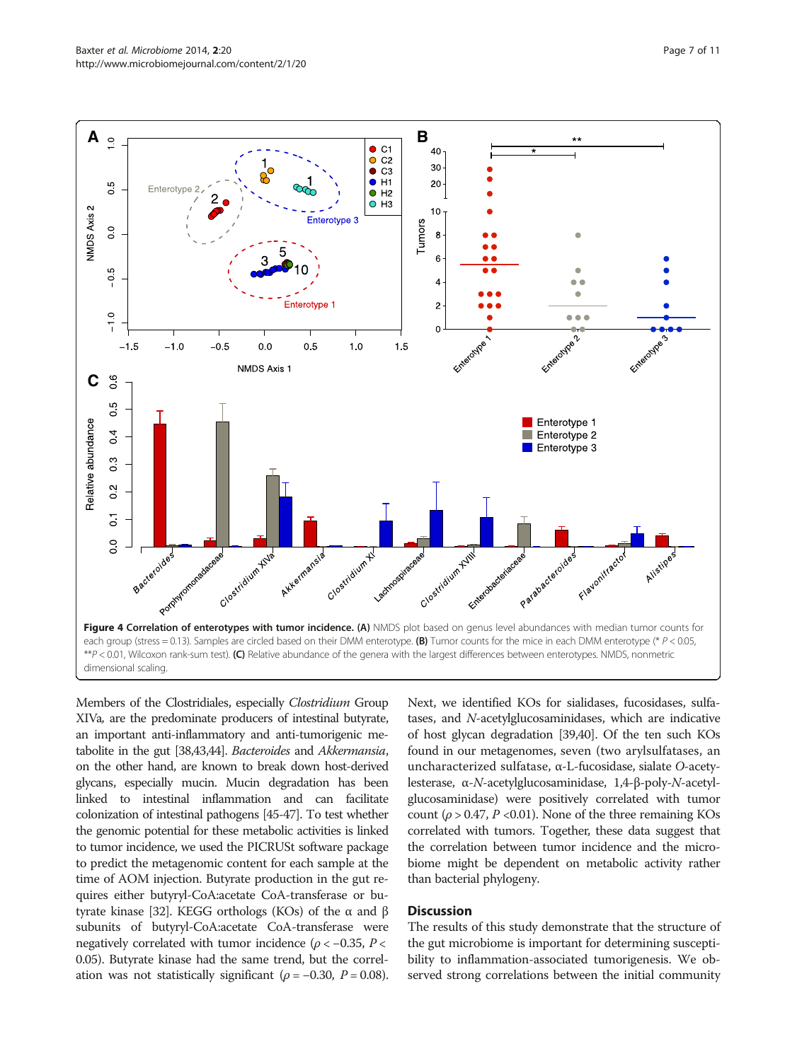<span id="page-6-0"></span>

Members of the Clostridiales, especially *Clostridium* Group XIVa, are the predominate producers of intestinal butyrate, an important anti-inflammatory and anti-tumorigenic metabolite in the gut [\[38,43,44](#page-10-0)]. Bacteroides and Akkermansia, on the other hand, are known to break down host-derived glycans, especially mucin. Mucin degradation has been linked to intestinal inflammation and can facilitate colonization of intestinal pathogens [\[45-47](#page-10-0)]. To test whether the genomic potential for these metabolic activities is linked to tumor incidence, we used the PICRUSt software package to predict the metagenomic content for each sample at the time of AOM injection. Butyrate production in the gut requires either butyryl-CoA:acetate CoA-transferase or butyrate kinase [\[32\]](#page-10-0). KEGG orthologs (KOs) of the α and β subunits of butyryl-CoA:acetate CoA-transferase were negatively correlated with tumor incidence ( $\rho < -0.35$ , P < 0.05). Butyrate kinase had the same trend, but the correlation was not statistically significant ( $\rho = -0.30$ ,  $P = 0.08$ ). Next, we identified KOs for sialidases, fucosidases, sulfatases, and N-acetylglucosaminidases, which are indicative of host glycan degradation [[39,40\]](#page-10-0). Of the ten such KOs found in our metagenomes, seven (two arylsulfatases, an uncharacterized sulfatase, α-L-fucosidase, sialate O-acetylesterase, α-N-acetylglucosaminidase, 1,4-β-poly-N-acetylglucosaminidase) were positively correlated with tumor count ( $\rho > 0.47$ ,  $P < 0.01$ ). None of the three remaining KOs correlated with tumors. Together, these data suggest that the correlation between tumor incidence and the microbiome might be dependent on metabolic activity rather than bacterial phylogeny.

## **Discussion**

The results of this study demonstrate that the structure of the gut microbiome is important for determining susceptibility to inflammation-associated tumorigenesis. We observed strong correlations between the initial community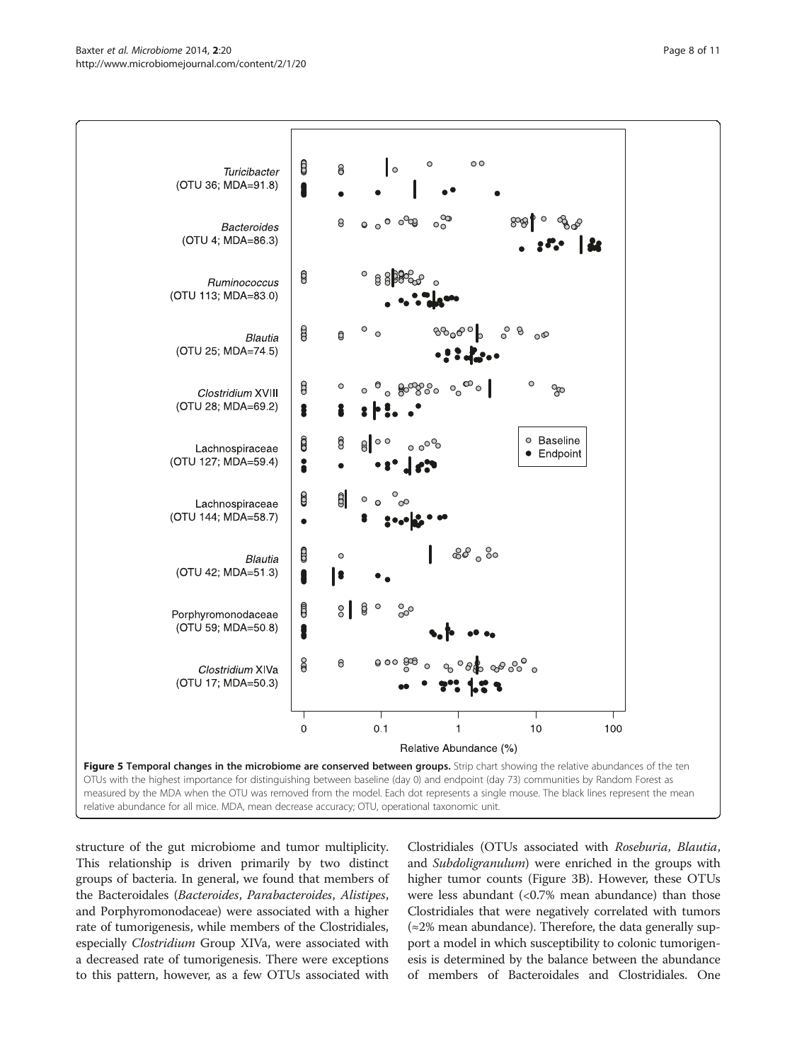<span id="page-7-0"></span>

structure of the gut microbiome and tumor multiplicity. This relationship is driven primarily by two distinct groups of bacteria. In general, we found that members of the Bacteroidales (Bacteroides, Parabacteroides, Alistipes, and Porphyromonodaceae) were associated with a higher rate of tumorigenesis, while members of the Clostridiales, especially Clostridium Group XIVa, were associated with a decreased rate of tumorigenesis. There were exceptions to this pattern, however, as a few OTUs associated with

Clostridiales (OTUs associated with Roseburia, Blautia, and Subdoligranulum) were enriched in the groups with higher tumor counts (Figure [3](#page-5-0)B). However, these OTUs were less abundant (<0.7% mean abundance) than those Clostridiales that were negatively correlated with tumors (≈2% mean abundance). Therefore, the data generally support a model in which susceptibility to colonic tumorigenesis is determined by the balance between the abundance of members of Bacteroidales and Clostridiales. One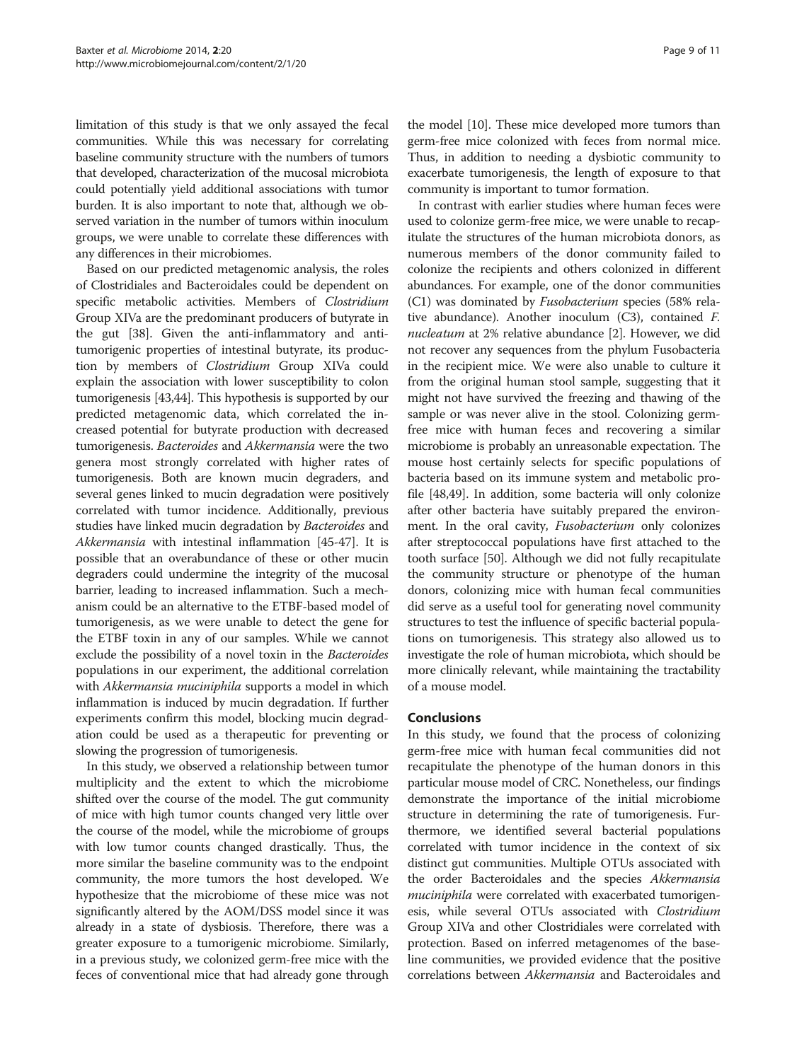limitation of this study is that we only assayed the fecal communities. While this was necessary for correlating baseline community structure with the numbers of tumors that developed, characterization of the mucosal microbiota could potentially yield additional associations with tumor burden. It is also important to note that, although we observed variation in the number of tumors within inoculum groups, we were unable to correlate these differences with any differences in their microbiomes.

Based on our predicted metagenomic analysis, the roles of Clostridiales and Bacteroidales could be dependent on specific metabolic activities. Members of Clostridium Group XIVa are the predominant producers of butyrate in the gut [\[38\]](#page-10-0). Given the anti-inflammatory and antitumorigenic properties of intestinal butyrate, its production by members of Clostridium Group XIVa could explain the association with lower susceptibility to colon tumorigenesis [\[43,44\]](#page-10-0). This hypothesis is supported by our predicted metagenomic data, which correlated the increased potential for butyrate production with decreased tumorigenesis. Bacteroides and Akkermansia were the two genera most strongly correlated with higher rates of tumorigenesis. Both are known mucin degraders, and several genes linked to mucin degradation were positively correlated with tumor incidence. Additionally, previous studies have linked mucin degradation by Bacteroides and Akkermansia with intestinal inflammation [\[45-47\]](#page-10-0). It is possible that an overabundance of these or other mucin degraders could undermine the integrity of the mucosal barrier, leading to increased inflammation. Such a mechanism could be an alternative to the ETBF-based model of tumorigenesis, as we were unable to detect the gene for the ETBF toxin in any of our samples. While we cannot exclude the possibility of a novel toxin in the Bacteroides populations in our experiment, the additional correlation with Akkermansia muciniphila supports a model in which inflammation is induced by mucin degradation. If further experiments confirm this model, blocking mucin degradation could be used as a therapeutic for preventing or slowing the progression of tumorigenesis.

In this study, we observed a relationship between tumor multiplicity and the extent to which the microbiome shifted over the course of the model. The gut community of mice with high tumor counts changed very little over the course of the model, while the microbiome of groups with low tumor counts changed drastically. Thus, the more similar the baseline community was to the endpoint community, the more tumors the host developed. We hypothesize that the microbiome of these mice was not significantly altered by the AOM/DSS model since it was already in a state of dysbiosis. Therefore, there was a greater exposure to a tumorigenic microbiome. Similarly, in a previous study, we colonized germ-free mice with the feces of conventional mice that had already gone through the model [\[10\]](#page-9-0). These mice developed more tumors than germ-free mice colonized with feces from normal mice. Thus, in addition to needing a dysbiotic community to exacerbate tumorigenesis, the length of exposure to that community is important to tumor formation.

In contrast with earlier studies where human feces were used to colonize germ-free mice, we were unable to recapitulate the structures of the human microbiota donors, as numerous members of the donor community failed to colonize the recipients and others colonized in different abundances. For example, one of the donor communities (C1) was dominated by Fusobacterium species (58% relative abundance). Another inoculum (C3), contained F. nucleatum at 2% relative abundance [[2\]](#page-9-0). However, we did not recover any sequences from the phylum Fusobacteria in the recipient mice. We were also unable to culture it from the original human stool sample, suggesting that it might not have survived the freezing and thawing of the sample or was never alive in the stool. Colonizing germfree mice with human feces and recovering a similar microbiome is probably an unreasonable expectation. The mouse host certainly selects for specific populations of bacteria based on its immune system and metabolic profile [[48](#page-10-0),[49](#page-10-0)]. In addition, some bacteria will only colonize after other bacteria have suitably prepared the environment. In the oral cavity, Fusobacterium only colonizes after streptococcal populations have first attached to the tooth surface [\[50\]](#page-10-0). Although we did not fully recapitulate the community structure or phenotype of the human donors, colonizing mice with human fecal communities did serve as a useful tool for generating novel community structures to test the influence of specific bacterial populations on tumorigenesis. This strategy also allowed us to investigate the role of human microbiota, which should be more clinically relevant, while maintaining the tractability of a mouse model.

# Conclusions

In this study, we found that the process of colonizing germ-free mice with human fecal communities did not recapitulate the phenotype of the human donors in this particular mouse model of CRC. Nonetheless, our findings demonstrate the importance of the initial microbiome structure in determining the rate of tumorigenesis. Furthermore, we identified several bacterial populations correlated with tumor incidence in the context of six distinct gut communities. Multiple OTUs associated with the order Bacteroidales and the species Akkermansia muciniphila were correlated with exacerbated tumorigenesis, while several OTUs associated with Clostridium Group XIVa and other Clostridiales were correlated with protection. Based on inferred metagenomes of the baseline communities, we provided evidence that the positive correlations between Akkermansia and Bacteroidales and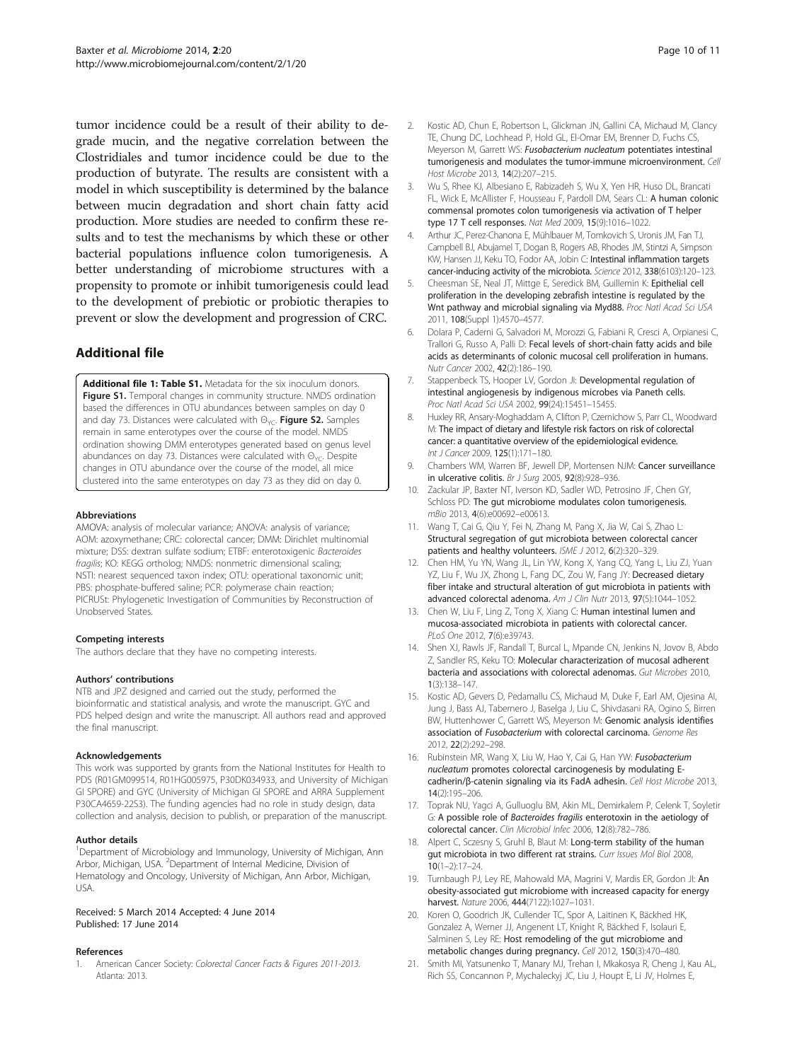<span id="page-9-0"></span>tumor incidence could be a result of their ability to degrade mucin, and the negative correlation between the Clostridiales and tumor incidence could be due to the production of butyrate. The results are consistent with a model in which susceptibility is determined by the balance between mucin degradation and short chain fatty acid production. More studies are needed to confirm these results and to test the mechanisms by which these or other bacterial populations influence colon tumorigenesis. A better understanding of microbiome structures with a propensity to promote or inhibit tumorigenesis could lead to the development of prebiotic or probiotic therapies to prevent or slow the development and progression of CRC.

# Additional file

[Additional file 1: Table S1.](http://www.biomedcentral.com/content/supplementary/2049-2618-2-20-S1.docx) Metadata for the six inoculum donors. Figure S1. Temporal changes in community structure. NMDS ordination based the differences in OTU abundances between samples on day 0 and day 73. Distances were calculated with  $\Theta_{\text{YC}}$ . Figure S2. Samples remain in same enterotypes over the course of the model. NMDS ordination showing DMM enterotypes generated based on genus level abundances on day 73. Distances were calculated with  $\Theta_{YCD}$ . Despite changes in OTU abundance over the course of the model, all mice clustered into the same enterotypes on day 73 as they did on day 0.

#### Abbreviations

AMOVA: analysis of molecular variance; ANOVA: analysis of variance; AOM: azoxymethane; CRC: colorectal cancer; DMM: Dirichlet multinomial mixture; DSS: dextran sulfate sodium; ETBF: enterotoxigenic Bacteroides fragilis; KO: KEGG ortholog; NMDS: nonmetric dimensional scaling; NSTI: nearest sequenced taxon index; OTU: operational taxonomic unit; PBS: phosphate-buffered saline; PCR: polymerase chain reaction; PICRUSt: Phylogenetic Investigation of Communities by Reconstruction of Unobserved States.

#### Competing interests

The authors declare that they have no competing interests.

#### Authors' contributions

NTB and JPZ designed and carried out the study, performed the bioinformatic and statistical analysis, and wrote the manuscript. GYC and PDS helped design and write the manuscript. All authors read and approved the final manuscript.

#### Acknowledgements

This work was supported by grants from the National Institutes for Health to PDS (R01GM099514, R01HG005975, P30DK034933, and University of Michigan GI SPORE) and GYC (University of Michigan GI SPORE and ARRA Supplement P30CA4659-22S3). The funding agencies had no role in study design, data collection and analysis, decision to publish, or preparation of the manuscript.

#### Author details

<sup>1</sup>Department of Microbiology and Immunology, University of Michigan, Ann Arbor, Michigan, USA. <sup>2</sup>Department of Internal Medicine, Division of Hematology and Oncology, University of Michigan, Ann Arbor, Michigan, USA.

#### Received: 5 March 2014 Accepted: 4 June 2014 Published: 17 June 2014

#### References

1. American Cancer Society: Colorectal Cancer Facts & Figures 2011-2013. Atlanta: 2013.

- Kostic AD, Chun E, Robertson L, Glickman JN, Gallini CA, Michaud M, Clancy TE, Chung DC, Lochhead P, Hold GL, El-Omar EM, Brenner D, Fuchs CS, Meyerson M, Garrett WS: Fusobacterium nucleatum potentiates intestinal tumorigenesis and modulates the tumor-immune microenvironment. Cell Host Microbe 2013, 14(2):207–215.
- 3. Wu S, Rhee KJ, Albesiano E, Rabizadeh S, Wu X, Yen HR, Huso DL, Brancati FL, Wick E, McAllister F, Housseau F, Pardoll DM, Sears CL: A human colonic commensal promotes colon tumorigenesis via activation of T helper type 17 T cell responses. Nat Med 2009, 15(9):1016–1022.
- 4. Arthur JC, Perez-Chanona E, Mühlbauer M, Tomkovich S, Uronis JM, Fan TJ, Campbell BJ, Abujamel T, Dogan B, Rogers AB, Rhodes JM, Stintzi A, Simpson KW, Hansen JJ, Keku TO, Fodor AA, Jobin C: Intestinal inflammation targets cancer-inducing activity of the microbiota. Science 2012, 338(6103):120–123.
- 5. Cheesman SE, Neal JT, Mittge E, Seredick BM, Guillemin K: Epithelial cell proliferation in the developing zebrafish intestine is regulated by the .<br>Wnt pathway and microbial signaling via Myd88. Proc Natl Acad Sci USA 2011, 108(Suppl 1):4570–4577.
- Dolara P, Caderni G, Salvadori M, Morozzi G, Fabiani R, Cresci A, Orpianesi C, Trallori G, Russo A, Palli D: Fecal levels of short-chain fatty acids and bile acids as determinants of colonic mucosal cell proliferation in humans. Nutr Cancer 2002, 42(2):186–190.
- 7. Stappenbeck TS, Hooper LV, Gordon JI: Developmental regulation of intestinal angiogenesis by indigenous microbes via Paneth cells. Proc Natl Acad Sci USA 2002, 99(24):15451–15455.
- 8. Huxley RR, Ansary-Moghaddam A, Clifton P, Czernichow S, Parr CL, Woodward M: The impact of dietary and lifestyle risk factors on risk of colorectal cancer: a quantitative overview of the epidemiological evidence. Int J Cancer 2009, 125(1):171–180.
- 9. Chambers WM, Warren BF, Jewell DP, Mortensen NJM: Cancer surveillance in ulcerative colitis. Br J Surg 2005, 92(8):928-936.
- 10. Zackular JP, Baxter NT, Iverson KD, Sadler WD, Petrosino JF, Chen GY, Schloss PD: The gut microbiome modulates colon tumorigenesis. mBio 2013, 4(6):e00692–e00613.
- 11. Wang T, Cai G, Qiu Y, Fei N, Zhang M, Pang X, Jia W, Cai S, Zhao L: Structural segregation of gut microbiota between colorectal cancer patients and healthy volunteers. ISME J 2012, 6(2):320-329.
- 12. Chen HM, Yu YN, Wang JL, Lin YW, Kong X, Yang CQ, Yang L, Liu ZJ, Yuan YZ, Liu F, Wu JX, Zhong L, Fang DC, Zou W, Fang JY: Decreased dietary fiber intake and structural alteration of gut microbiota in patients with advanced colorectal adenoma. Am J Clin Nutr 2013, 97(5):1044–1052.
- 13. Chen W, Liu F, Ling Z, Tong X, Xiang C: Human intestinal lumen and mucosa-associated microbiota in patients with colorectal cancer. PLoS One 2012, 7(6):e39743.
- 14. Shen XJ, Rawls JF, Randall T, Burcal L, Mpande CN, Jenkins N, Jovov B, Abdo Z, Sandler RS, Keku TO: Molecular characterization of mucosal adherent bacteria and associations with colorectal adenomas. Gut Microbes 2010, 1(3):138–147.
- 15. Kostic AD, Gevers D, Pedamallu CS, Michaud M, Duke F, Earl AM, Ojesina AI, Jung J, Bass AJ, Tabernero J, Baselga J, Liu C, Shivdasani RA, Ogino S, Birren BW, Huttenhower C, Garrett WS, Meyerson M: Genomic analysis identifies association of Fusobacterium with colorectal carcinoma. Genome Res 2012, 22(2):292–298.
- 16. Rubinstein MR, Wang X, Liu W, Hao Y, Cai G, Han YW: Fusobacterium nucleatum promotes colorectal carcinogenesis by modulating Ecadherin/β-catenin signaling via its FadA adhesin. Cell Host Microbe 2013, 14(2):195–206.
- 17. Toprak NU, Yagci A, Gulluoglu BM, Akin ML, Demirkalem P, Celenk T, Soyletir G: A possible role of Bacteroides fragilis enterotoxin in the aetiology of colorectal cancer. Clin Microbiol Infec 2006, 12(8):782–786.
- 18. Alpert C, Sczesny S, Gruhl B, Blaut M: Long-term stability of the human gut microbiota in two different rat strains. Curr Issues Mol Biol 2008, 10(1–2):17–24.
- 19. Turnbaugh PJ, Ley RE, Mahowald MA, Magrini V, Mardis ER, Gordon Jl: An obesity-associated gut microbiome with increased capacity for energy harvest. Nature 2006, 444(7122):1027–1031.
- 20. Koren O, Goodrich JK, Cullender TC, Spor A, Laitinen K, Bäckhed HK, Gonzalez A, Werner JJ, Angenent LT, Knight R, Bäckhed F, Isolauri E, Salminen S, Ley RE: Host remodeling of the gut microbiome and metabolic changes during pregnancy. Cell 2012, 150(3):470–480.
- 21. Smith MI, Yatsunenko T, Manary MJ, Trehan I, Mkakosya R, Cheng J, Kau AL, Rich SS, Concannon P, Mychaleckyj JC, Liu J, Houpt E, Li JV, Holmes E,